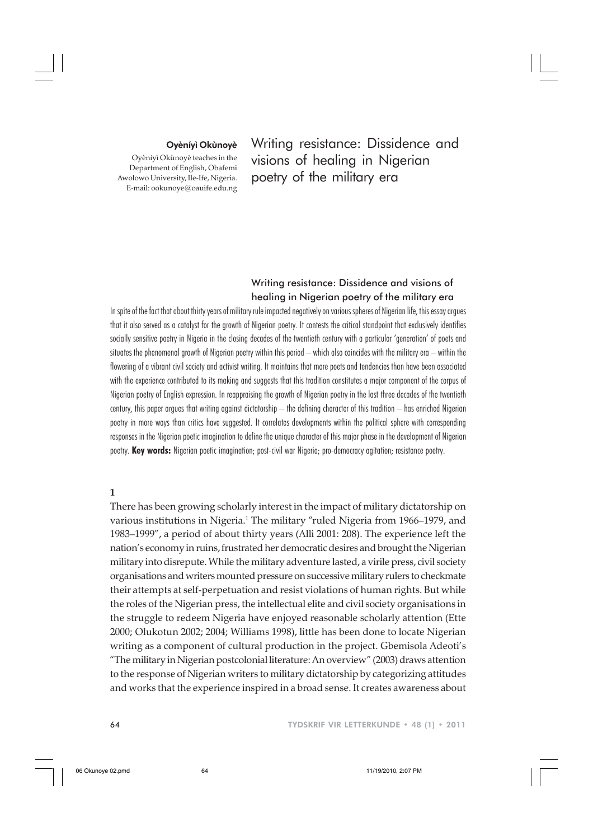#### Oyèníyì Okùnoyè

Oyèníyì Okùnoyè teaches in the Department of English, Obafemi Awolowo University, Ile-Ife, Nigeria. E-mail: ookunoye@oauife.edu.ng

Writing resistance: Dissidence and visions of healing in Nigerian poetry of the military era

# Writing resistance: Dissidence and visions of healing in Nigerian poetry of the military era

In spite of the fact that about thirty years of military rule impacted negatively on various spheres of Nigerian life, this essay argues that it also served as a catalyst for the growth of Nigerian poetry. It contests the critical standpoint that exclusively identifies socially sensitive poetry in Nigeria in the closing decades of the twentieth century with a particular 'generation' of poets and situates the phenomenal growth of Nigerian poetry within this period – which also coincides with the military era – within the flowering of a vibrant civil society and activist writing. It maintains that more poets and tendencies than have been associated with the experience contributed to its making and suggests that this tradition constitutes a major component of the corpus of Nigerian poetry of English expression. In reappraising the growth of Nigerian poetry in the last three decades of the twentieth century, this paper argues that writing against dictatorship – the defining character of this tradition – has enriched Nigerian poetry in more ways than critics have suggested. It correlates developments within the political sphere with corresponding responses in the Nigerian poetic imagination to define the unique character of this major phase in the development of Nigerian poetry. **Key words:** Nigerian poetic imagination; post-civil war Nigeria; pro-democracy agitation; resistance poetry.

## **1**

There has been growing scholarly interest in the impact of military dictatorship on various institutions in Nigeria.<sup>1</sup> The military "ruled Nigeria from 1966–1979, and 1983–1999", a period of about thirty years (Alli 2001: 208). The experience left the nation's economy in ruins, frustrated her democratic desires and brought the Nigerian military into disrepute. While the military adventure lasted, a virile press, civil society organisations and writers mounted pressure on successive military rulers to checkmate their attempts at self-perpetuation and resist violations of human rights. But while the roles of the Nigerian press, the intellectual elite and civil society organisations in the struggle to redeem Nigeria have enjoyed reasonable scholarly attention (Ette 2000; Olukotun 2002; 2004; Williams 1998), little has been done to locate Nigerian writing as a component of cultural production in the project. Gbemisola Adeoti's "The military in Nigerian postcolonial literature: An overview" (2003) draws attention to the response of Nigerian writers to military dictatorship by categorizing attitudes and works that the experience inspired in a broad sense. It creates awareness about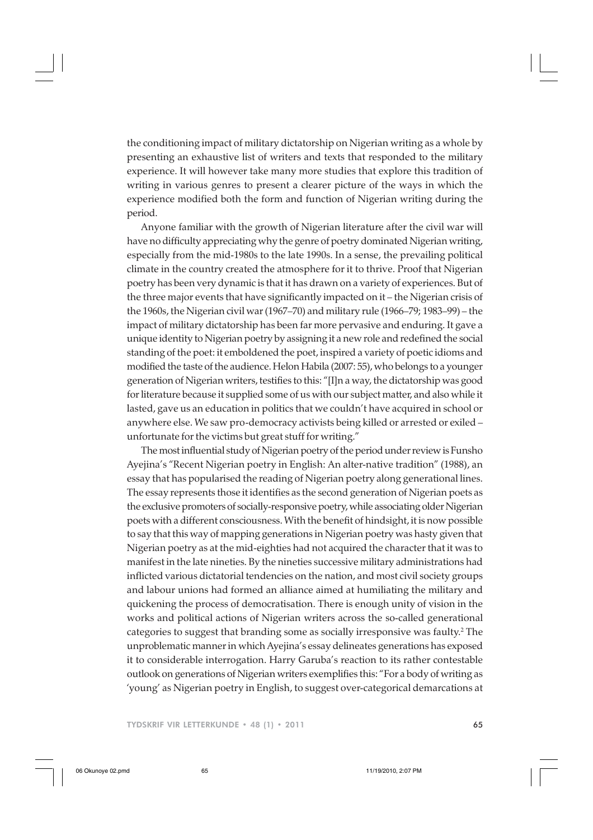the conditioning impact of military dictatorship on Nigerian writing as a whole by presenting an exhaustive list of writers and texts that responded to the military experience. It will however take many more studies that explore this tradition of writing in various genres to present a clearer picture of the ways in which the experience modified both the form and function of Nigerian writing during the period.

Anyone familiar with the growth of Nigerian literature after the civil war will have no difficulty appreciating why the genre of poetry dominated Nigerian writing, especially from the mid-1980s to the late 1990s. In a sense, the prevailing political climate in the country created the atmosphere for it to thrive. Proof that Nigerian poetry has been very dynamic is that it has drawn on a variety of experiences. But of the three major events that have significantly impacted on it – the Nigerian crisis of the 1960s, the Nigerian civil war (1967–70) and military rule (1966–79; 1983–99) – the impact of military dictatorship has been far more pervasive and enduring. It gave a unique identity to Nigerian poetry by assigning it a new role and redefined the social standing of the poet: it emboldened the poet, inspired a variety of poetic idioms and modified the taste of the audience. Helon Habila (2007: 55), who belongs to a younger generation of Nigerian writers, testifies to this: "[I]n a way, the dictatorship was good for literature because it supplied some of us with our subject matter, and also while it lasted, gave us an education in politics that we couldn't have acquired in school or anywhere else. We saw pro-democracy activists being killed or arrested or exiled – unfortunate for the victims but great stuff for writing."

The most influential study of Nigerian poetry of the period under review is Funsho Ayejina's "Recent Nigerian poetry in English: An alter-native tradition" (1988), an essay that has popularised the reading of Nigerian poetry along generational lines. The essay represents those it identifies as the second generation of Nigerian poets as the exclusive promoters of socially-responsive poetry, while associating older Nigerian poets with a different consciousness. With the benefit of hindsight, it is now possible to say that this way of mapping generations in Nigerian poetry was hasty given that Nigerian poetry as at the mid-eighties had not acquired the character that it was to manifest in the late nineties. By the nineties successive military administrations had inflicted various dictatorial tendencies on the nation, and most civil society groups and labour unions had formed an alliance aimed at humiliating the military and quickening the process of democratisation. There is enough unity of vision in the works and political actions of Nigerian writers across the so-called generational categories to suggest that branding some as socially irresponsive was faulty.<sup>2</sup> The unproblematic manner in which Ayejina's essay delineates generations has exposed it to considerable interrogation. Harry Garuba's reaction to its rather contestable outlook on generations of Nigerian writers exemplifies this: "For a body of writing as 'young' as Nigerian poetry in English, to suggest over-categorical demarcations at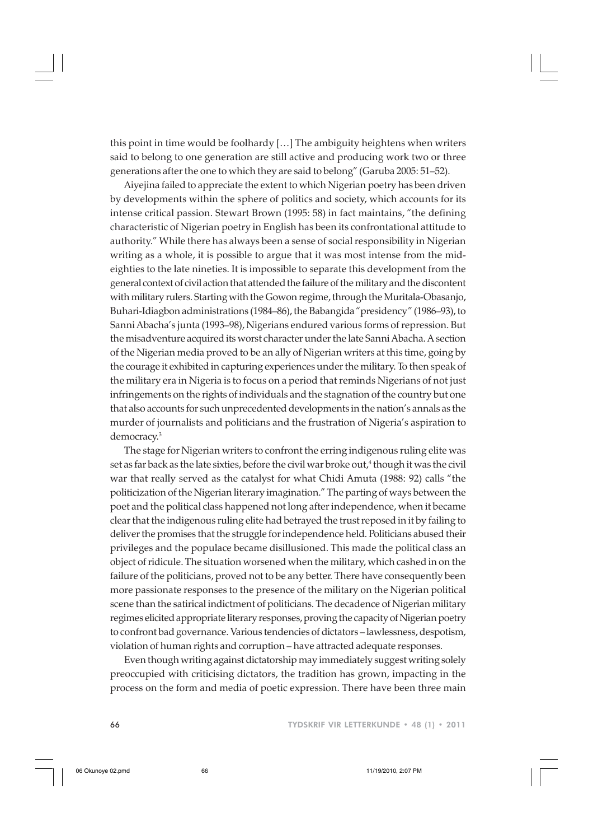this point in time would be foolhardy […] The ambiguity heightens when writers said to belong to one generation are still active and producing work two or three generations after the one to which they are said to belong" (Garuba 2005: 51–52).

Aiyejina failed to appreciate the extent to which Nigerian poetry has been driven by developments within the sphere of politics and society, which accounts for its intense critical passion. Stewart Brown (1995: 58) in fact maintains, "the defining characteristic of Nigerian poetry in English has been its confrontational attitude to authority." While there has always been a sense of social responsibility in Nigerian writing as a whole, it is possible to argue that it was most intense from the mideighties to the late nineties. It is impossible to separate this development from the general context of civil action that attended the failure of the military and the discontent with military rulers. Starting with the Gowon regime, through the Muritala-Obasanjo, Buhari-Idiagbon administrations (1984–86), the Babangida "presidency" (1986–93), to Sanni Abacha's junta (1993–98), Nigerians endured various forms of repression. But the misadventure acquired its worst character under the late Sanni Abacha. A section of the Nigerian media proved to be an ally of Nigerian writers at this time, going by the courage it exhibited in capturing experiences under the military. To then speak of the military era in Nigeria is to focus on a period that reminds Nigerians of not just infringements on the rights of individuals and the stagnation of the country but one that also accounts for such unprecedented developments in the nation's annals as the murder of journalists and politicians and the frustration of Nigeria's aspiration to democracy.<sup>3</sup>

The stage for Nigerian writers to confront the erring indigenous ruling elite was set as far back as the late sixties, before the civil war broke out,<sup>4</sup> though it was the civil war that really served as the catalyst for what Chidi Amuta (1988: 92) calls "the politicization of the Nigerian literary imagination." The parting of ways between the poet and the political class happened not long after independence, when it became clear that the indigenous ruling elite had betrayed the trust reposed in it by failing to deliver the promises that the struggle for independence held. Politicians abused their privileges and the populace became disillusioned. This made the political class an object of ridicule. The situation worsened when the military, which cashed in on the failure of the politicians, proved not to be any better. There have consequently been more passionate responses to the presence of the military on the Nigerian political scene than the satirical indictment of politicians. The decadence of Nigerian military regimes elicited appropriate literary responses, proving the capacity of Nigerian poetry to confront bad governance. Various tendencies of dictators – lawlessness, despotism, violation of human rights and corruption – have attracted adequate responses.

Even though writing against dictatorship may immediately suggest writing solely preoccupied with criticising dictators, the tradition has grown, impacting in the process on the form and media of poetic expression. There have been three main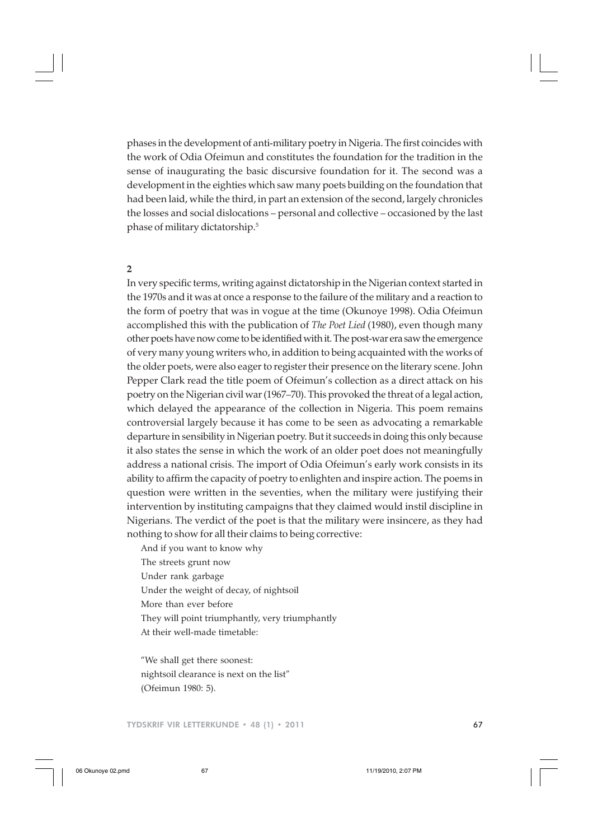phases in the development of anti-military poetry in Nigeria. The first coincides with the work of Odia Ofeimun and constitutes the foundation for the tradition in the sense of inaugurating the basic discursive foundation for it. The second was a development in the eighties which saw many poets building on the foundation that had been laid, while the third, in part an extension of the second, largely chronicles the losses and social dislocations – personal and collective – occasioned by the last phase of military dictatorship.5

# **2**

In very specific terms, writing against dictatorship in the Nigerian context started in the 1970s and it was at once a response to the failure of the military and a reaction to the form of poetry that was in vogue at the time (Okunoye 1998). Odia Ofeimun accomplished this with the publication of *The Poet Lied* (1980), even though many other poets have now come to be identified with it. The post-war era saw the emergence of very many young writers who, in addition to being acquainted with the works of the older poets, were also eager to register their presence on the literary scene. John Pepper Clark read the title poem of Ofeimun's collection as a direct attack on his poetry on the Nigerian civil war (1967–70). This provoked the threat of a legal action, which delayed the appearance of the collection in Nigeria. This poem remains controversial largely because it has come to be seen as advocating a remarkable departure in sensibility in Nigerian poetry. But it succeeds in doing this only because it also states the sense in which the work of an older poet does not meaningfully address a national crisis. The import of Odia Ofeimun's early work consists in its ability to affirm the capacity of poetry to enlighten and inspire action. The poems in question were written in the seventies, when the military were justifying their intervention by instituting campaigns that they claimed would instil discipline in Nigerians. The verdict of the poet is that the military were insincere, as they had nothing to show for all their claims to being corrective:

And if you want to know why The streets grunt now Under rank garbage Under the weight of decay, of nightsoil More than ever before They will point triumphantly, very triumphantly At their well-made timetable:

"We shall get there soonest: nightsoil clearance is next on the list" (Ofeimun 1980: 5).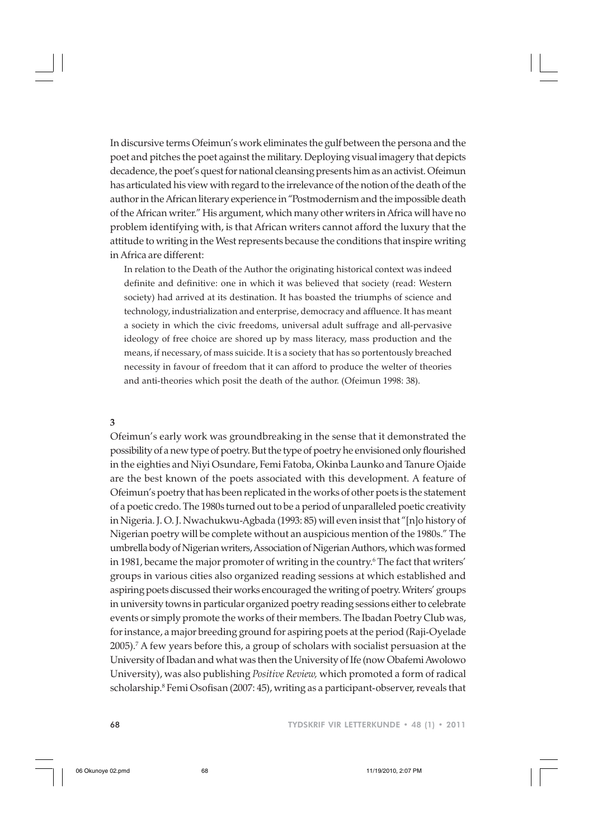In discursive terms Ofeimun's work eliminates the gulf between the persona and the poet and pitches the poet against the military. Deploying visual imagery that depicts decadence, the poet's quest for national cleansing presents him as an activist. Ofeimun has articulated his view with regard to the irrelevance of the notion of the death of the author in the African literary experience in "Postmodernism and the impossible death of the African writer." His argument, which many other writers in Africa will have no problem identifying with, is that African writers cannot afford the luxury that the attitude to writing in the West represents because the conditions that inspire writing in Africa are different:

In relation to the Death of the Author the originating historical context was indeed definite and definitive: one in which it was believed that society (read: Western society) had arrived at its destination. It has boasted the triumphs of science and technology, industrialization and enterprise, democracy and affluence. It has meant a society in which the civic freedoms, universal adult suffrage and all-pervasive ideology of free choice are shored up by mass literacy, mass production and the means, if necessary, of mass suicide. It is a society that has so portentously breached necessity in favour of freedom that it can afford to produce the welter of theories and anti-theories which posit the death of the author. (Ofeimun 1998: 38).

### **3**

Ofeimun's early work was groundbreaking in the sense that it demonstrated the possibility of a new type of poetry. But the type of poetry he envisioned only flourished in the eighties and Niyi Osundare, Femi Fatoba, Okinba Launko and Tanure Ojaide are the best known of the poets associated with this development. A feature of Ofeimun's poetry that has been replicated in the works of other poets is the statement of a poetic credo. The 1980s turned out to be a period of unparalleled poetic creativity in Nigeria. J. O. J. Nwachukwu-Agbada (1993: 85) will even insist that "[n]o history of Nigerian poetry will be complete without an auspicious mention of the 1980s." The umbrella body of Nigerian writers, Association of Nigerian Authors, which was formed in 1981, became the major promoter of writing in the country.6 The fact that writers' groups in various cities also organized reading sessions at which established and aspiring poets discussed their works encouraged the writing of poetry. Writers' groups in university towns in particular organized poetry reading sessions either to celebrate events or simply promote the works of their members. The Ibadan Poetry Club was, for instance, a major breeding ground for aspiring poets at the period (Raji-Oyelade 2005).7 A few years before this, a group of scholars with socialist persuasion at the University of Ibadan and what was then the University of Ife (now Obafemi Awolowo University), was also publishing *Positive Review,* which promoted a form of radical scholarship.<sup>8</sup> Femi Osofisan (2007: 45), writing as a participant-observer, reveals that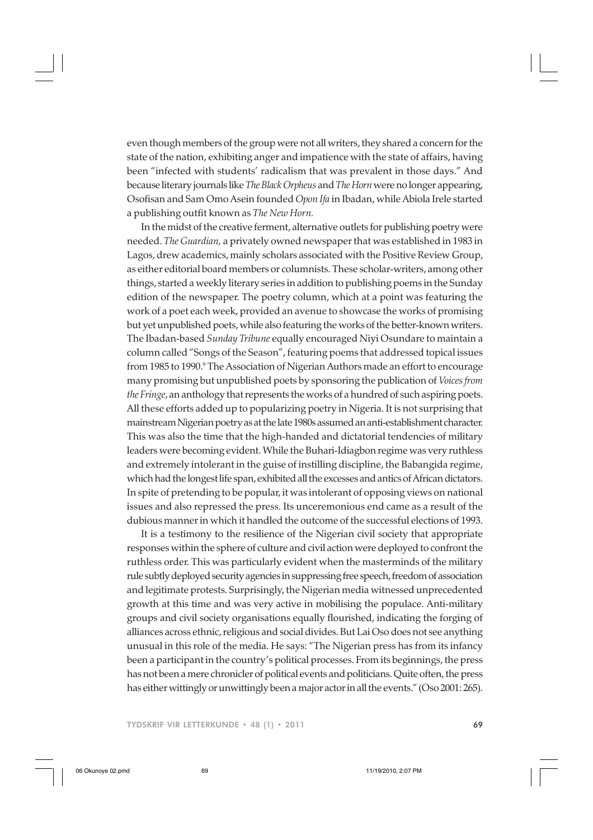even though members of the group were not all writers, they shared a concern for the state of the nation, exhibiting anger and impatience with the state of affairs, having been "infected with students' radicalism that was prevalent in those days." And because literary journals like *The Black Orpheus* and *The Horn* were no longer appearing, Osofisan and Sam Omo Asein founded *Opon Ifa* in Ibadan, while Abiola Irele started a publishing outfit known as *The New Horn.*

In the midst of the creative ferment, alternative outlets for publishing poetry were needed. *The Guardian,* a privately owned newspaper that was established in 1983 in Lagos, drew academics, mainly scholars associated with the Positive Review Group, as either editorial board members or columnists. These scholar-writers, among other things, started a weekly literary series in addition to publishing poems in the Sunday edition of the newspaper. The poetry column, which at a point was featuring the work of a poet each week, provided an avenue to showcase the works of promising but yet unpublished poets, while also featuring the works of the better-known writers. The Ibadan-based *Sunday Tribune* equally encouraged Niyi Osundare to maintain a column called "Songs of the Season", featuring poems that addressed topical issues from 1985 to 1990.<sup>9</sup> The Association of Nigerian Authors made an effort to encourage many promising but unpublished poets by sponsoring the publication of *Voices from the Fringe*, an anthology that represents the works of a hundred of such aspiring poets. All these efforts added up to popularizing poetry in Nigeria. It is not surprising that mainstream Nigerian poetry as at the late 1980s assumed an anti-establishment character. This was also the time that the high-handed and dictatorial tendencies of military leaders were becoming evident. While the Buhari-Idiagbon regime was very ruthless and extremely intolerant in the guise of instilling discipline, the Babangida regime, which had the longest life span, exhibited all the excesses and antics of African dictators. In spite of pretending to be popular, it was intolerant of opposing views on national issues and also repressed the press. Its unceremonious end came as a result of the dubious manner in which it handled the outcome of the successful elections of 1993.

It is a testimony to the resilience of the Nigerian civil society that appropriate responses within the sphere of culture and civil action were deployed to confront the ruthless order. This was particularly evident when the masterminds of the military rule subtly deployed security agencies in suppressing free speech, freedom of association and legitimate protests. Surprisingly, the Nigerian media witnessed unprecedented growth at this time and was very active in mobilising the populace. Anti-military groups and civil society organisations equally flourished, indicating the forging of alliances across ethnic, religious and social divides. But Lai Oso does not see anything unusual in this role of the media. He says: "The Nigerian press has from its infancy been a participant in the country's political processes. From its beginnings, the press has not been a mere chronicler of political events and politicians. Quite often, the press has either wittingly or unwittingly been a major actor in all the events." (Oso 2001: 265).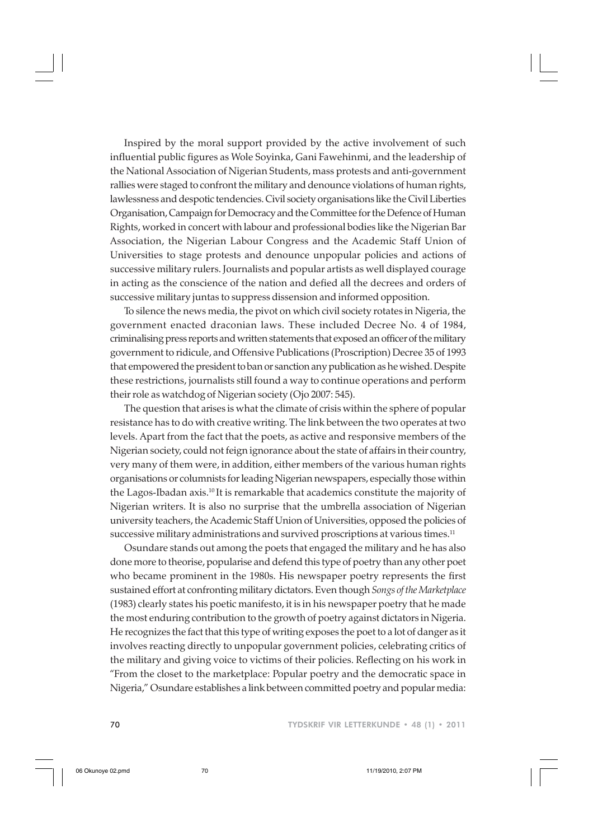Inspired by the moral support provided by the active involvement of such influential public figures as Wole Soyinka, Gani Fawehinmi, and the leadership of the National Association of Nigerian Students, mass protests and anti-government rallies were staged to confront the military and denounce violations of human rights, lawlessness and despotic tendencies. Civil society organisations like the Civil Liberties Organisation, Campaign for Democracy and the Committee for the Defence of Human Rights, worked in concert with labour and professional bodies like the Nigerian Bar Association, the Nigerian Labour Congress and the Academic Staff Union of Universities to stage protests and denounce unpopular policies and actions of successive military rulers. Journalists and popular artists as well displayed courage in acting as the conscience of the nation and defied all the decrees and orders of successive military juntas to suppress dissension and informed opposition.

To silence the news media, the pivot on which civil society rotates in Nigeria, the government enacted draconian laws. These included Decree No. 4 of 1984, criminalising press reports and written statements that exposed an officer of the military government to ridicule, and Offensive Publications (Proscription) Decree 35 of 1993 that empowered the president to ban or sanction any publication as he wished. Despite these restrictions, journalists still found a way to continue operations and perform their role as watchdog of Nigerian society (Ojo 2007: 545).

The question that arises is what the climate of crisis within the sphere of popular resistance has to do with creative writing. The link between the two operates at two levels. Apart from the fact that the poets, as active and responsive members of the Nigerian society, could not feign ignorance about the state of affairs in their country, very many of them were, in addition, either members of the various human rights organisations or columnists for leading Nigerian newspapers, especially those within the Lagos-Ibadan axis.10 It is remarkable that academics constitute the majority of Nigerian writers. It is also no surprise that the umbrella association of Nigerian university teachers, the Academic Staff Union of Universities, opposed the policies of successive military administrations and survived proscriptions at various times.<sup>11</sup>

Osundare stands out among the poets that engaged the military and he has also done more to theorise, popularise and defend this type of poetry than any other poet who became prominent in the 1980s. His newspaper poetry represents the first sustained effort at confronting military dictators. Even though *Songs of the Marketplace* (1983) clearly states his poetic manifesto, it is in his newspaper poetry that he made the most enduring contribution to the growth of poetry against dictators in Nigeria. He recognizes the fact that this type of writing exposes the poet to a lot of danger as it involves reacting directly to unpopular government policies, celebrating critics of the military and giving voice to victims of their policies. Reflecting on his work in "From the closet to the marketplace: Popular poetry and the democratic space in Nigeria," Osundare establishes a link between committed poetry and popular media: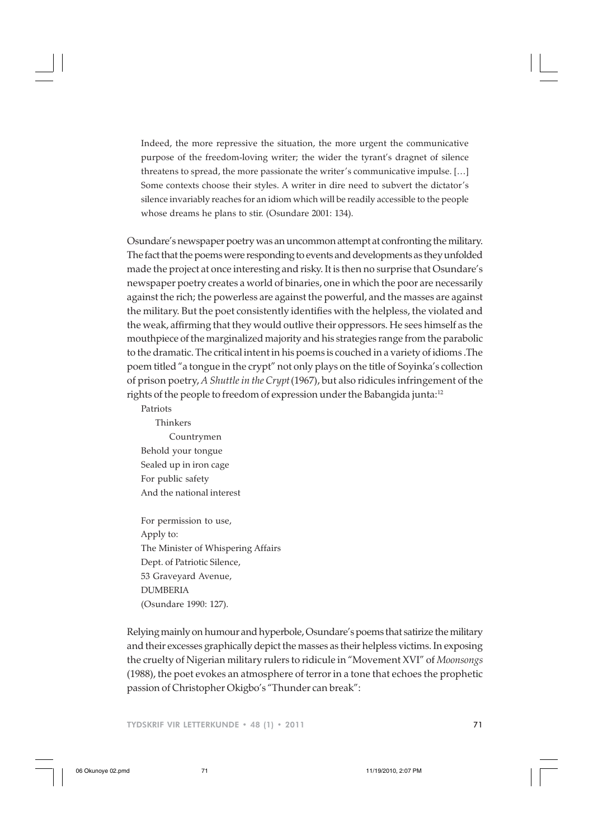Indeed, the more repressive the situation, the more urgent the communicative purpose of the freedom-loving writer; the wider the tyrant's dragnet of silence threatens to spread, the more passionate the writer's communicative impulse. […] Some contexts choose their styles. A writer in dire need to subvert the dictator's silence invariably reaches for an idiom which will be readily accessible to the people whose dreams he plans to stir. (Osundare 2001: 134).

Osundare's newspaper poetry was an uncommon attempt at confronting the military. The fact that the poems were responding to events and developments as they unfolded made the project at once interesting and risky. It is then no surprise that Osundare's newspaper poetry creates a world of binaries, one in which the poor are necessarily against the rich; the powerless are against the powerful, and the masses are against the military. But the poet consistently identifies with the helpless, the violated and the weak, affirming that they would outlive their oppressors. He sees himself as the mouthpiece of the marginalized majority and his strategies range from the parabolic to the dramatic. The critical intent in his poems is couched in a variety of idioms .The poem titled "a tongue in the crypt" not only plays on the title of Soyinka's collection of prison poetry, *A Shuttle in the Crypt*(1967), but also ridicules infringement of the rights of the people to freedom of expression under the Babangida junta:<sup>12</sup>

- Patriots Thinkers Countrymen Behold your tongue Sealed up in iron cage For public safety And the national interest
- For permission to use, Apply to: The Minister of Whispering Affairs Dept. of Patriotic Silence, 53 Graveyard Avenue, DUMBERIA (Osundare 1990: 127).

Relying mainly on humour and hyperbole, Osundare's poems that satirize the military and their excesses graphically depict the masses as their helpless victims. In exposing the cruelty of Nigerian military rulers to ridicule in "Movement XVI" of *Moonsongs* (1988), the poet evokes an atmosphere of terror in a tone that echoes the prophetic passion of Christopher Okigbo's "Thunder can break":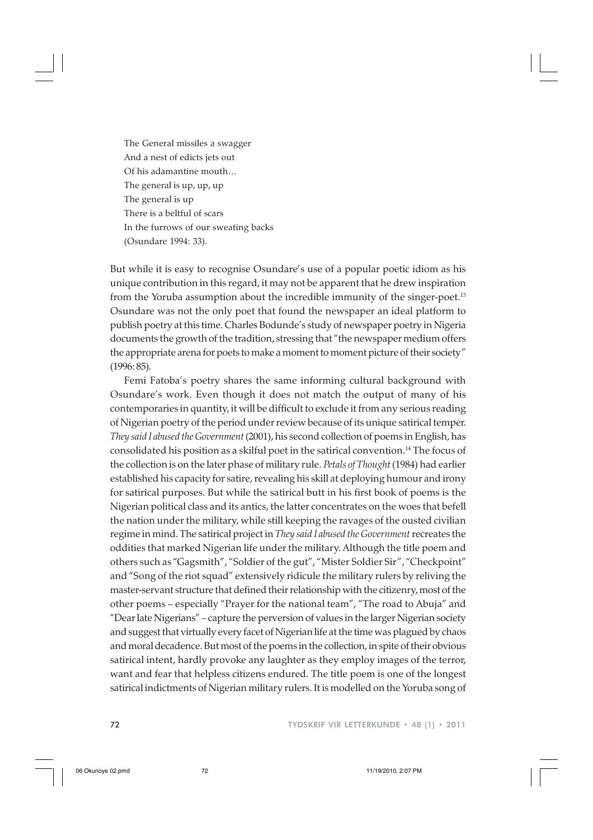The General missiles a swagger And a nest of edicts jets out Of his adamantine mouth… The general is up, up, up The general is up There is a beltful of scars In the furrows of our sweating backs (Osundare 1994: 33).

But while it is easy to recognise Osundare's use of a popular poetic idiom as his unique contribution in this regard, it may not be apparent that he drew inspiration from the Yoruba assumption about the incredible immunity of the singer-poet.<sup>13</sup> Osundare was not the only poet that found the newspaper an ideal platform to publish poetry at this time. Charles Bodunde's study of newspaper poetry in Nigeria documents the growth of the tradition, stressing that "the newspaper medium offers the appropriate arena for poets to make a moment to moment picture of their society" (1996: 85).

Femi Fatoba's poetry shares the same informing cultural background with Osundare's work. Even though it does not match the output of many of his contemporaries in quantity, it will be difficult to exclude it from any serious reading of Nigerian poetry of the period under review because of its unique satirical temper. *They said I abused the Government* (2001), his second collection of poems in English, has consolidated his position as a skilful poet in the satirical convention.14 The focus of the collection is on the later phase of military rule. *Petals of Thought* (1984) had earlier established his capacity for satire, revealing his skill at deploying humour and irony for satirical purposes. But while the satirical butt in his first book of poems is the Nigerian political class and its antics, the latter concentrates on the woes that befell the nation under the military, while still keeping the ravages of the ousted civilian regime in mind. The satirical project in *They said I abused the Government* recreates the oddities that marked Nigerian life under the military. Although the title poem and others such as "Gagsmith", "Soldier of the gut", "Mister Soldier Sir", "Checkpoint" and "Song of the riot squad" extensively ridicule the military rulers by reliving the master-servant structure that defined their relationship with the citizenry, most of the other poems – especially "Prayer for the national team", "The road to Abuja" and "Dear late Nigerians" – capture the perversion of values in the larger Nigerian society and suggest that virtually every facet of Nigerian life at the time was plagued by chaos and moral decadence. But most of the poems in the collection, in spite of their obvious satirical intent, hardly provoke any laughter as they employ images of the terror, want and fear that helpless citizens endured. The title poem is one of the longest satirical indictments of Nigerian military rulers. It is modelled on the Yoruba song of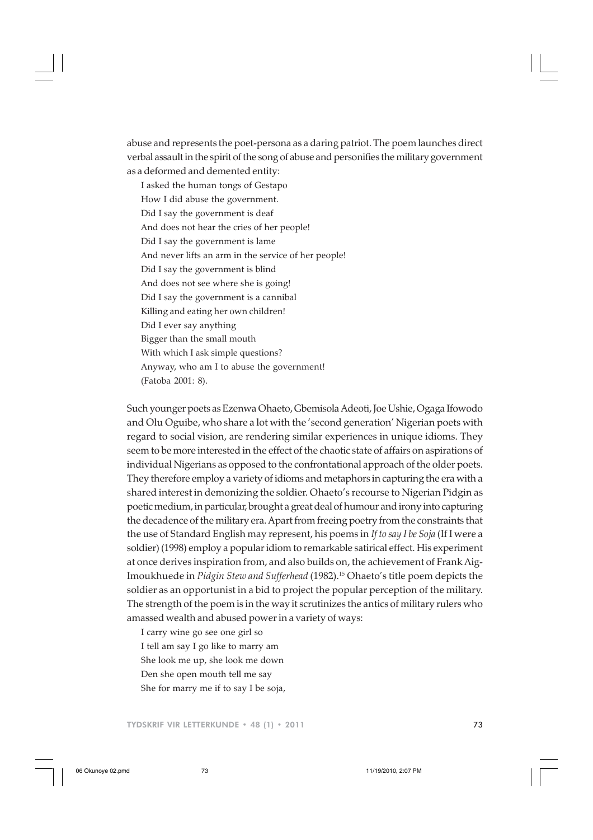abuse and represents the poet-persona as a daring patriot. The poem launches direct verbal assault in the spirit of the song of abuse and personifies the military government as a deformed and demented entity:

I asked the human tongs of Gestapo How I did abuse the government. Did I say the government is deaf And does not hear the cries of her people! Did I say the government is lame And never lifts an arm in the service of her people! Did I say the government is blind And does not see where she is going! Did I say the government is a cannibal Killing and eating her own children! Did I ever say anything Bigger than the small mouth With which I ask simple questions? Anyway, who am I to abuse the government! (Fatoba 2001: 8).

Such younger poets as Ezenwa Ohaeto, Gbemisola Adeoti, Joe Ushie, Ogaga Ifowodo and Olu Oguibe, who share a lot with the 'second generation' Nigerian poets with regard to social vision, are rendering similar experiences in unique idioms. They seem to be more interested in the effect of the chaotic state of affairs on aspirations of individual Nigerians as opposed to the confrontational approach of the older poets. They therefore employ a variety of idioms and metaphors in capturing the era with a shared interest in demonizing the soldier. Ohaeto's recourse to Nigerian Pidgin as poetic medium, in particular, brought a great deal of humour and irony into capturing the decadence of the military era. Apart from freeing poetry from the constraints that the use of Standard English may represent, his poems in *If to say I be Soja* (If I were a soldier) (1998) employ a popular idiom to remarkable satirical effect. His experiment at once derives inspiration from, and also builds on, the achievement of Frank Aig-Imoukhuede in *Pidgin Stew and Sufferhead* (1982).15 Ohaeto's title poem depicts the soldier as an opportunist in a bid to project the popular perception of the military. The strength of the poem is in the way it scrutinizes the antics of military rulers who amassed wealth and abused power in a variety of ways:

I carry wine go see one girl so I tell am say I go like to marry am She look me up, she look me down Den she open mouth tell me say She for marry me if to say I be soja,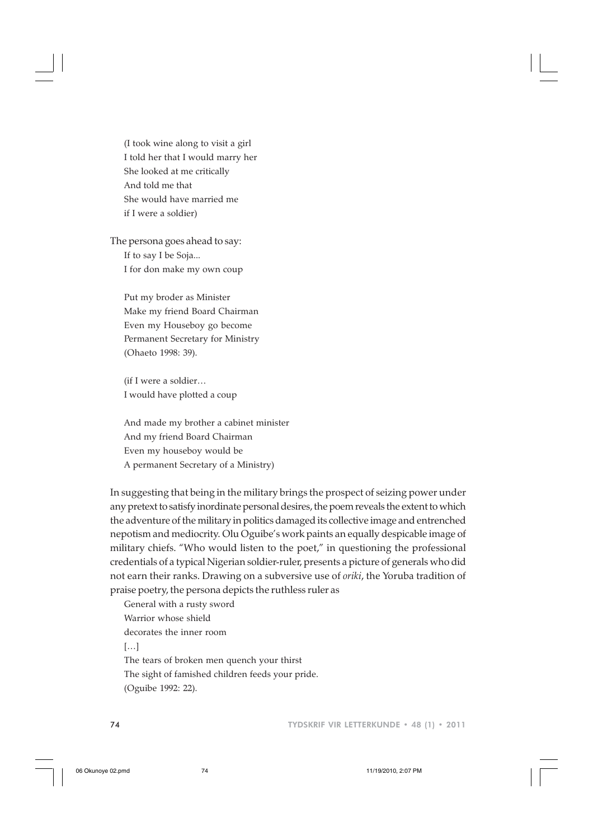(I took wine along to visit a girl I told her that I would marry her She looked at me critically And told me that She would have married me if I were a soldier)

The persona goes ahead to say: If to say I be Soja... I for don make my own coup

> Put my broder as Minister Make my friend Board Chairman Even my Houseboy go become Permanent Secretary for Ministry (Ohaeto 1998: 39).

(if I were a soldier… I would have plotted a coup

And made my brother a cabinet minister And my friend Board Chairman Even my houseboy would be A permanent Secretary of a Ministry)

In suggesting that being in the military brings the prospect of seizing power under any pretext to satisfy inordinate personal desires, the poem reveals the extent to which the adventure of the military in politics damaged its collective image and entrenched nepotism and mediocrity. Olu Oguibe's work paints an equally despicable image of military chiefs. "Who would listen to the poet," in questioning the professional credentials of a typical Nigerian soldier-ruler, presents a picture of generals who did not earn their ranks. Drawing on a subversive use of *oriki*, the Yoruba tradition of praise poetry, the persona depicts the ruthless ruler as

General with a rusty sword Warrior whose shield decorates the inner room […] The tears of broken men quench your thirst The sight of famished children feeds your pride.

(Oguibe 1992: 22).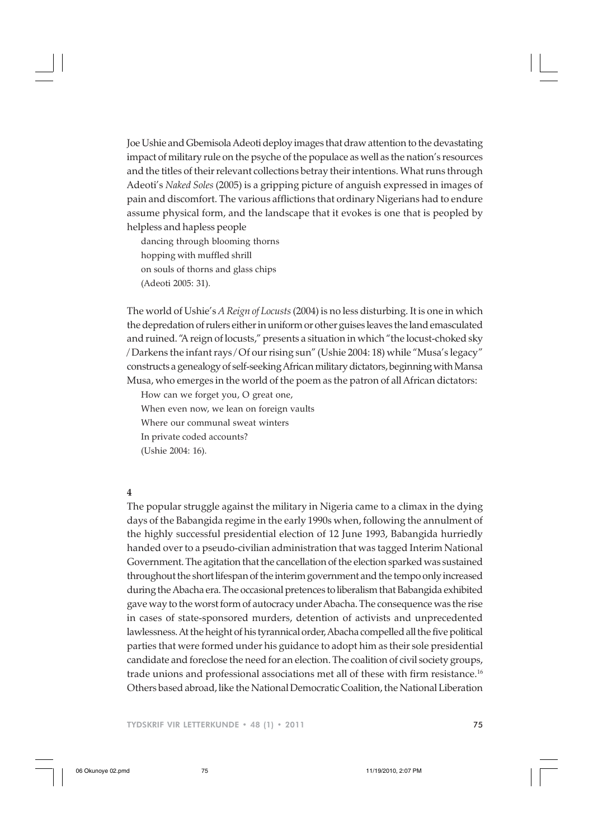Joe Ushie and Gbemisola Adeoti deploy images that draw attention to the devastating impact of military rule on the psyche of the populace as well as the nation's resources and the titles of their relevant collections betray their intentions. What runs through Adeoti's *Naked Soles* (2005) is a gripping picture of anguish expressed in images of pain and discomfort. The various afflictions that ordinary Nigerians had to endure assume physical form, and the landscape that it evokes is one that is peopled by helpless and hapless people

dancing through blooming thorns hopping with muffled shrill on souls of thorns and glass chips (Adeoti 2005: 31).

The world of Ushie's *A Reign of Locusts* (2004) is no less disturbing. It is one in which the depredation of rulers either in uniform or other guises leaves the land emasculated and ruined. "A reign of locusts," presents a situation in which "the locust-choked sky / Darkens the infant rays / Of our rising sun" (Ushie 2004: 18) while "Musa's legacy" constructs a genealogy of self-seeking African military dictators, beginning with Mansa Musa, who emerges in the world of the poem as the patron of all African dictators:

How can we forget you, O great one,

When even now, we lean on foreign vaults

Where our communal sweat winters

In private coded accounts?

(Ushie 2004: 16).

## **4**

The popular struggle against the military in Nigeria came to a climax in the dying days of the Babangida regime in the early 1990s when, following the annulment of the highly successful presidential election of 12 June 1993, Babangida hurriedly handed over to a pseudo-civilian administration that was tagged Interim National Government. The agitation that the cancellation of the election sparked was sustained throughout the short lifespan of the interim government and the tempo only increased during the Abacha era. The occasional pretences to liberalism that Babangida exhibited gave way to the worst form of autocracy under Abacha. The consequence was the rise in cases of state-sponsored murders, detention of activists and unprecedented lawlessness. At the height of his tyrannical order, Abacha compelled all the five political parties that were formed under his guidance to adopt him as their sole presidential candidate and foreclose the need for an election. The coalition of civil society groups, trade unions and professional associations met all of these with firm resistance.16 Others based abroad, like the National Democratic Coalition, the National Liberation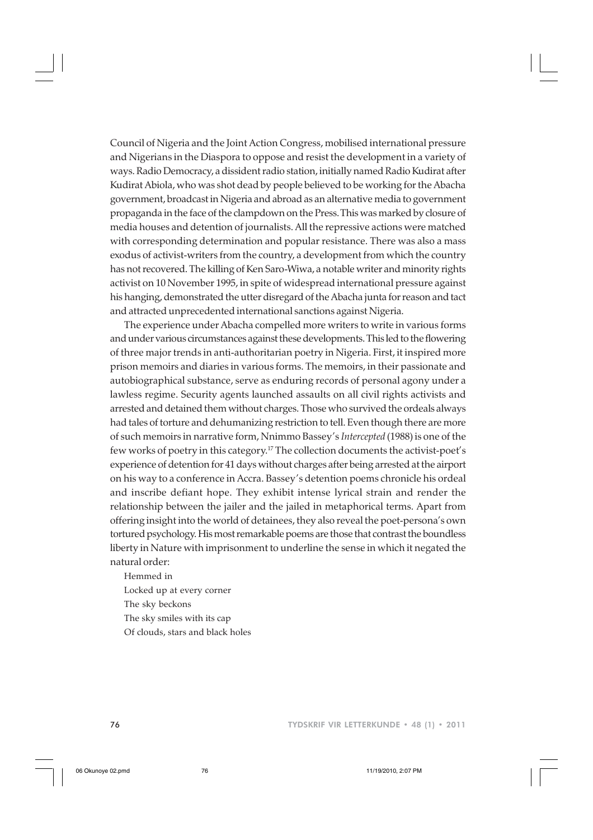Council of Nigeria and the Joint Action Congress, mobilised international pressure and Nigerians in the Diaspora to oppose and resist the development in a variety of ways. Radio Democracy, a dissident radio station, initially named Radio Kudirat after Kudirat Abiola, who was shot dead by people believed to be working for the Abacha government, broadcast in Nigeria and abroad as an alternative media to government propaganda in the face of the clampdown on the Press.This was marked by closure of media houses and detention of journalists. All the repressive actions were matched with corresponding determination and popular resistance. There was also a mass exodus of activist-writers from the country, a development from which the country has not recovered. The killing of Ken Saro-Wiwa, a notable writer and minority rights activist on 10 November 1995, in spite of widespread international pressure against his hanging, demonstrated the utter disregard of the Abacha junta for reason and tact and attracted unprecedented international sanctions against Nigeria.

The experience under Abacha compelled more writers to write in various forms and under various circumstances against these developments. This led to the flowering of three major trends in anti-authoritarian poetry in Nigeria. First, it inspired more prison memoirs and diaries in various forms. The memoirs, in their passionate and autobiographical substance, serve as enduring records of personal agony under a lawless regime. Security agents launched assaults on all civil rights activists and arrested and detained them without charges. Those who survived the ordeals always had tales of torture and dehumanizing restriction to tell. Even though there are more of such memoirs in narrative form, Nnimmo Bassey's *Intercepted* (1988) is one of the few works of poetry in this category.17 The collection documents the activist-poet's experience of detention for 41 days without charges after being arrested at the airport on his way to a conference in Accra. Bassey's detention poems chronicle his ordeal and inscribe defiant hope. They exhibit intense lyrical strain and render the relationship between the jailer and the jailed in metaphorical terms. Apart from offering insight into the world of detainees, they also reveal the poet-persona's own tortured psychology. His most remarkable poems are those that contrast the boundless liberty in Nature with imprisonment to underline the sense in which it negated the natural order:

Hemmed in Locked up at every corner The sky beckons The sky smiles with its cap Of clouds, stars and black holes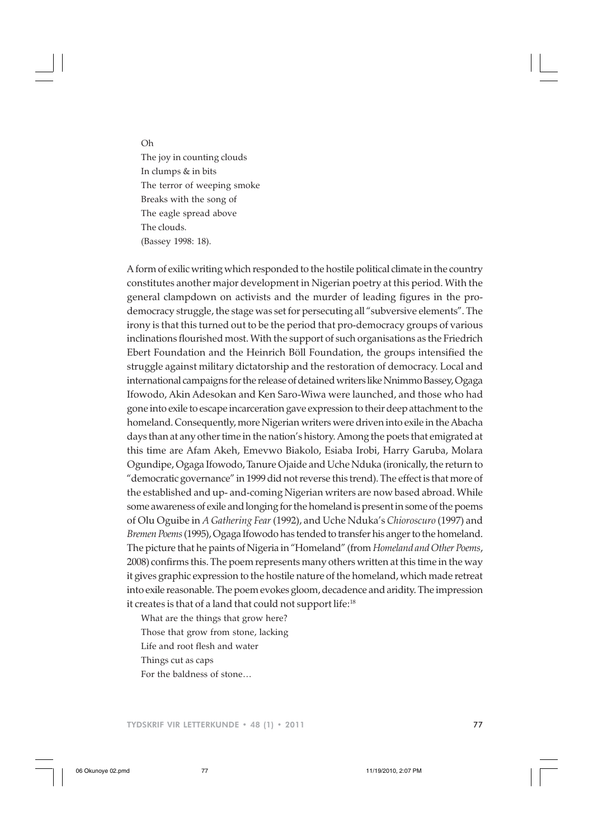Oh

The joy in counting clouds In clumps & in bits The terror of weeping smoke Breaks with the song of The eagle spread above The clouds. (Bassey 1998: 18).

A form of exilic writing which responded to the hostile political climate in the country constitutes another major development in Nigerian poetry at this period. With the general clampdown on activists and the murder of leading figures in the prodemocracy struggle, the stage was set for persecuting all "subversive elements". The irony is that this turned out to be the period that pro-democracy groups of various inclinations flourished most. With the support of such organisations as the Friedrich Ebert Foundation and the Heinrich Böll Foundation, the groups intensified the struggle against military dictatorship and the restoration of democracy. Local and international campaigns for the release of detained writers like Nnimmo Bassey, Ogaga Ifowodo, Akin Adesokan and Ken Saro-Wiwa were launched, and those who had gone into exile to escape incarceration gave expression to their deep attachment to the homeland. Consequently, more Nigerian writers were driven into exile in the Abacha days than at any other time in the nation's history. Among the poets that emigrated at this time are Afam Akeh, Emevwo Biakolo, Esiaba Irobi, Harry Garuba, Molara Ogundipe, Ogaga Ifowodo, Tanure Ojaide and Uche Nduka (ironically, the return to "democratic governance" in 1999 did not reverse this trend). The effect is that more of the established and up- and-coming Nigerian writers are now based abroad. While some awareness of exile and longing for the homeland is present in some of the poems of Olu Oguibe in *A Gathering Fear* (1992), and Uche Nduka's *Chioroscuro* (1997) and *Bremen Poems* (1995), Ogaga Ifowodo has tended to transfer his anger to the homeland. The picture that he paints of Nigeria in "Homeland" (from *Homeland and Other Poems*, 2008) confirms this. The poem represents many others written at this time in the way it gives graphic expression to the hostile nature of the homeland, which made retreat into exile reasonable. The poem evokes gloom, decadence and aridity. The impression it creates is that of a land that could not support life:<sup>18</sup>

What are the things that grow here? Those that grow from stone, lacking Life and root flesh and water Things cut as caps For the baldness of stone…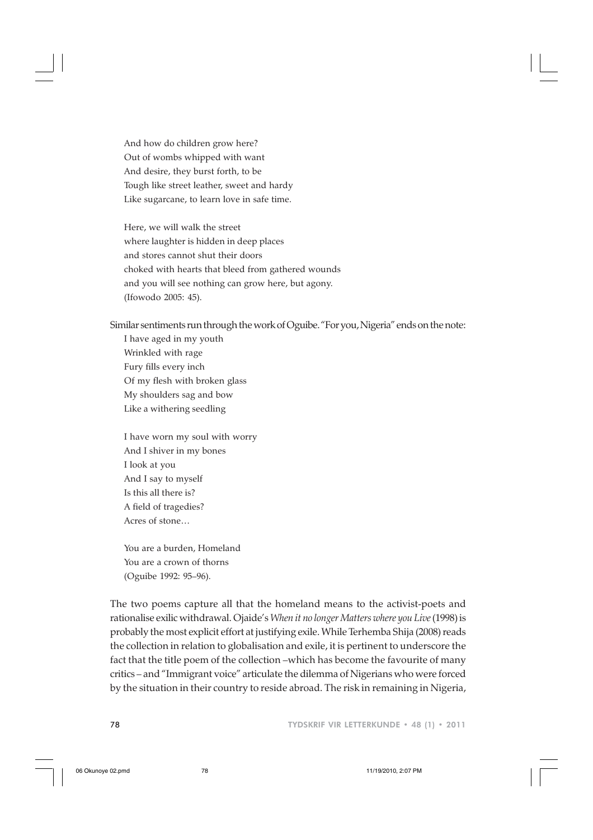And how do children grow here? Out of wombs whipped with want And desire, they burst forth, to be Tough like street leather, sweet and hardy Like sugarcane, to learn love in safe time.

Here, we will walk the street where laughter is hidden in deep places and stores cannot shut their doors choked with hearts that bleed from gathered wounds and you will see nothing can grow here, but agony. (Ifowodo 2005: 45).

Similar sentiments run through the work of Oguibe. "For you, Nigeria" ends on the note:

I have aged in my youth Wrinkled with rage Fury fills every inch Of my flesh with broken glass My shoulders sag and bow Like a withering seedling

I have worn my soul with worry And I shiver in my bones I look at you And I say to myself Is this all there is? A field of tragedies? Acres of stone…

You are a burden, Homeland You are a crown of thorns (Oguibe 1992: 95–96).

The two poems capture all that the homeland means to the activist-poets and rationalise exilic withdrawal. Ojaide's *When it no longer Matters where you Live* (1998) is probably the most explicit effort at justifying exile. While Terhemba Shija (2008) reads the collection in relation to globalisation and exile, it is pertinent to underscore the fact that the title poem of the collection –which has become the favourite of many critics – and "Immigrant voice" articulate the dilemma of Nigerians who were forced by the situation in their country to reside abroad. The risk in remaining in Nigeria,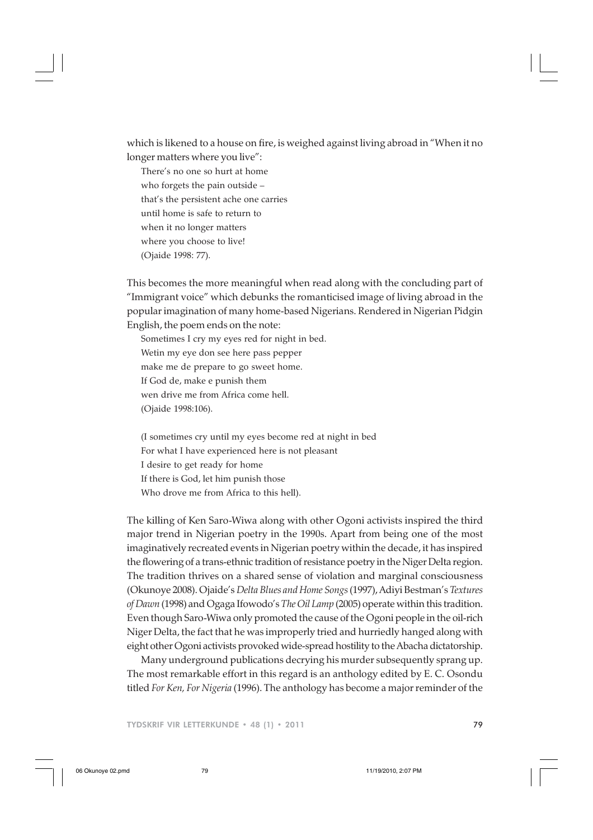which is likened to a house on fire, is weighed against living abroad in "When it no longer matters where you live":

There's no one so hurt at home who forgets the pain outside – that's the persistent ache one carries until home is safe to return to when it no longer matters where you choose to live! (Ojaide 1998: 77).

This becomes the more meaningful when read along with the concluding part of "Immigrant voice" which debunks the romanticised image of living abroad in the popular imagination of many home-based Nigerians. Rendered in Nigerian Pidgin English, the poem ends on the note:

Sometimes I cry my eyes red for night in bed. Wetin my eye don see here pass pepper make me de prepare to go sweet home. If God de, make e punish them wen drive me from Africa come hell. (Ojaide 1998:106).

(I sometimes cry until my eyes become red at night in bed For what I have experienced here is not pleasant I desire to get ready for home If there is God, let him punish those Who drove me from Africa to this hell).

The killing of Ken Saro-Wiwa along with other Ogoni activists inspired the third major trend in Nigerian poetry in the 1990s. Apart from being one of the most imaginatively recreated events in Nigerian poetry within the decade, it has inspired the flowering of a trans-ethnic tradition of resistance poetry in the Niger Delta region. The tradition thrives on a shared sense of violation and marginal consciousness (Okunoye 2008). Ojaide's *Delta Blues and Home Songs* (1997), Adiyi Bestman's *Textures of Dawn* (1998) and Ogaga Ifowodo's *The Oil Lamp* (2005) operate within this tradition. Even though Saro-Wiwa only promoted the cause of the Ogoni people in the oil-rich Niger Delta, the fact that he was improperly tried and hurriedly hanged along with eight other Ogoni activists provoked wide-spread hostility to the Abacha dictatorship.

Many underground publications decrying his murder subsequently sprang up. The most remarkable effort in this regard is an anthology edited by E. C. Osondu titled *For Ken, For Nigeria* (1996). The anthology has become a major reminder of the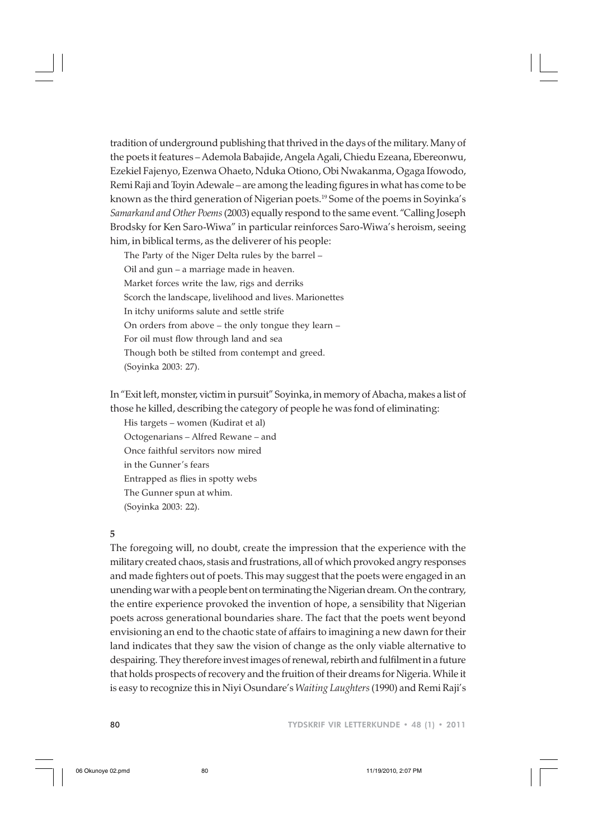tradition of underground publishing that thrived in the days of the military. Many of the poets it features – Ademola Babajide, Angela Agali, Chiedu Ezeana, Ebereonwu, Ezekiel Fajenyo, Ezenwa Ohaeto, Nduka Otiono, Obi Nwakanma, Ogaga Ifowodo, Remi Raji and Toyin Adewale – are among the leading figures in what has come to be known as the third generation of Nigerian poets.<sup>19</sup> Some of the poems in Soyinka's *Samarkand and Other Poems* (2003) equally respond to the same event. "Calling Joseph Brodsky for Ken Saro-Wiwa" in particular reinforces Saro-Wiwa's heroism, seeing him, in biblical terms, as the deliverer of his people:

The Party of the Niger Delta rules by the barrel – Oil and gun – a marriage made in heaven. Market forces write the law, rigs and derriks Scorch the landscape, livelihood and lives. Marionettes In itchy uniforms salute and settle strife On orders from above – the only tongue they learn – For oil must flow through land and sea Though both be stilted from contempt and greed. (Soyinka 2003: 27).

In "Exit left, monster, victim in pursuit" Soyinka, in memory of Abacha, makes a list of those he killed, describing the category of people he was fond of eliminating:

His targets – women (Kudirat et al) Octogenarians – Alfred Rewane – and Once faithful servitors now mired in the Gunner's fears Entrapped as flies in spotty webs The Gunner spun at whim. (Soyinka 2003: 22).

#### **5**

The foregoing will, no doubt, create the impression that the experience with the military created chaos, stasis and frustrations, all of which provoked angry responses and made fighters out of poets. This may suggest that the poets were engaged in an unending war with a people bent on terminating the Nigerian dream. On the contrary, the entire experience provoked the invention of hope, a sensibility that Nigerian poets across generational boundaries share. The fact that the poets went beyond envisioning an end to the chaotic state of affairs to imagining a new dawn for their land indicates that they saw the vision of change as the only viable alternative to despairing. They therefore invest images of renewal, rebirth and fulfilment in a future that holds prospects of recovery and the fruition of their dreams for Nigeria. While it is easy to recognize this in Niyi Osundare's *Waiting Laughters* (1990) and Remi Raji's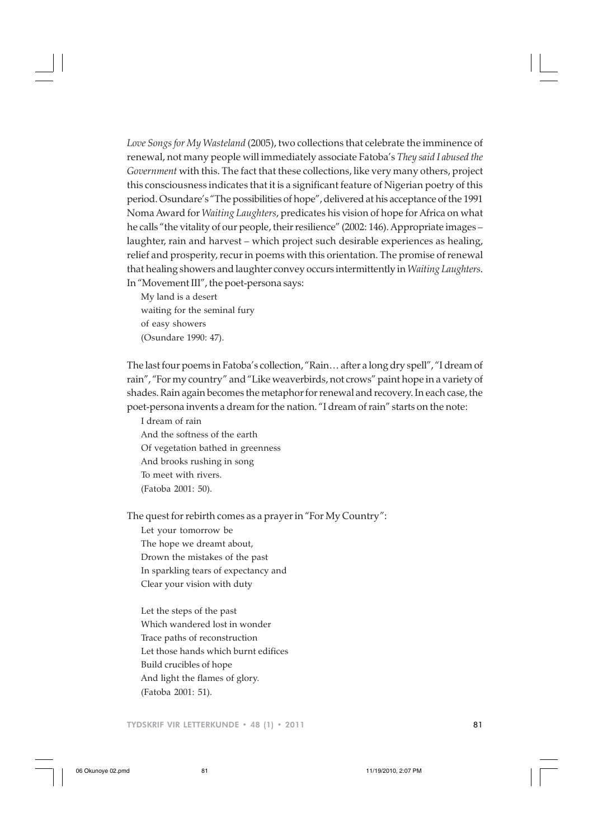*Love Songs for My Wasteland* (2005), two collections that celebrate the imminence of renewal, not many people will immediately associate Fatoba's *They said I abused the Government* with this. The fact that these collections, like very many others, project this consciousness indicates that it is a significant feature of Nigerian poetry of this period. Osundare's "The possibilities of hope", delivered at his acceptance of the 1991 Noma Award for *Waiting Laughters*, predicates his vision of hope for Africa on what he calls "the vitality of our people, their resilience" (2002: 146). Appropriate images – laughter, rain and harvest – which project such desirable experiences as healing, relief and prosperity, recur in poems with this orientation. The promise of renewal that healing showers and laughter convey occurs intermittently in *Waiting Laughters*. In "Movement III", the poet-persona says:

My land is a desert waiting for the seminal fury of easy showers (Osundare 1990: 47).

The last four poems in Fatoba's collection, "Rain… after a long dry spell", "I dream of rain", "For my country" and "Like weaverbirds, not crows" paint hope in a variety of shades. Rain again becomes the metaphor for renewal and recovery. In each case, the poet-persona invents a dream for the nation. "I dream of rain" starts on the note:

I dream of rain And the softness of the earth Of vegetation bathed in greenness And brooks rushing in song To meet with rivers. (Fatoba 2001: 50).

The quest for rebirth comes as a prayer in "For My Country": Let your tomorrow be

The hope we dreamt about, Drown the mistakes of the past In sparkling tears of expectancy and Clear your vision with duty

Let the steps of the past Which wandered lost in wonder Trace paths of reconstruction Let those hands which burnt edifices Build crucibles of hope And light the flames of glory. (Fatoba 2001: 51).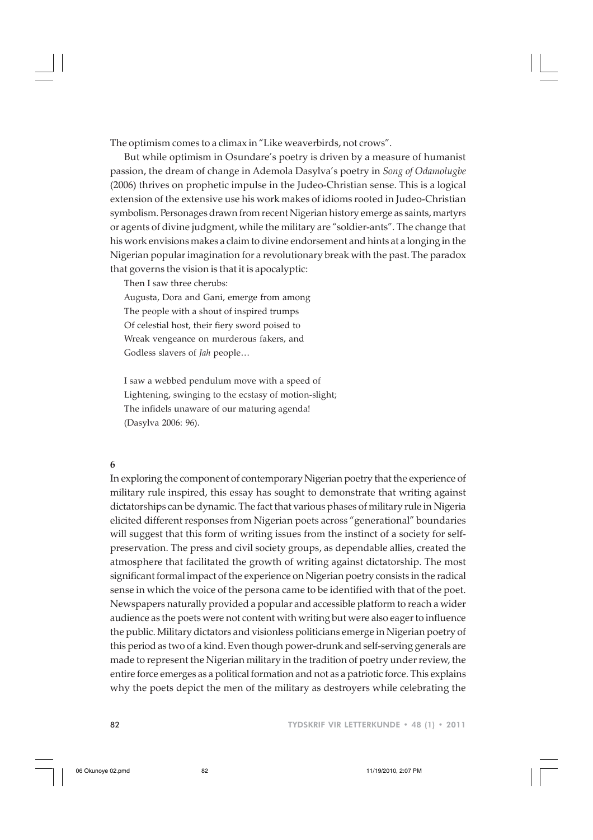The optimism comes to a climax in "Like weaverbirds, not crows".

But while optimism in Osundare's poetry is driven by a measure of humanist passion, the dream of change in Ademola Dasylva's poetry in *Song of Odamolugbe* (2006) thrives on prophetic impulse in the Judeo-Christian sense. This is a logical extension of the extensive use his work makes of idioms rooted in Judeo-Christian symbolism. Personages drawn from recent Nigerian history emerge as saints, martyrs or agents of divine judgment, while the military are "soldier-ants". The change that his work envisions makes a claim to divine endorsement and hints at a longing in the Nigerian popular imagination for a revolutionary break with the past. The paradox that governs the vision is that it is apocalyptic:

Then I saw three cherubs:

Augusta, Dora and Gani, emerge from among The people with a shout of inspired trumps Of celestial host, their fiery sword poised to Wreak vengeance on murderous fakers, and Godless slavers of *Jah* people…

I saw a webbed pendulum move with a speed of Lightening, swinging to the ecstasy of motion-slight; The infidels unaware of our maturing agenda! (Dasylva 2006: 96).

### **6**

In exploring the component of contemporary Nigerian poetry that the experience of military rule inspired, this essay has sought to demonstrate that writing against dictatorships can be dynamic. The fact that various phases of military rule in Nigeria elicited different responses from Nigerian poets across "generational" boundaries will suggest that this form of writing issues from the instinct of a society for selfpreservation. The press and civil society groups, as dependable allies, created the atmosphere that facilitated the growth of writing against dictatorship. The most significant formal impact of the experience on Nigerian poetry consists in the radical sense in which the voice of the persona came to be identified with that of the poet. Newspapers naturally provided a popular and accessible platform to reach a wider audience as the poets were not content with writing but were also eager to influence the public. Military dictators and visionless politicians emerge in Nigerian poetry of this period as two of a kind. Even though power-drunk and self-serving generals are made to represent the Nigerian military in the tradition of poetry under review, the entire force emerges as a political formation and not as a patriotic force. This explains why the poets depict the men of the military as destroyers while celebrating the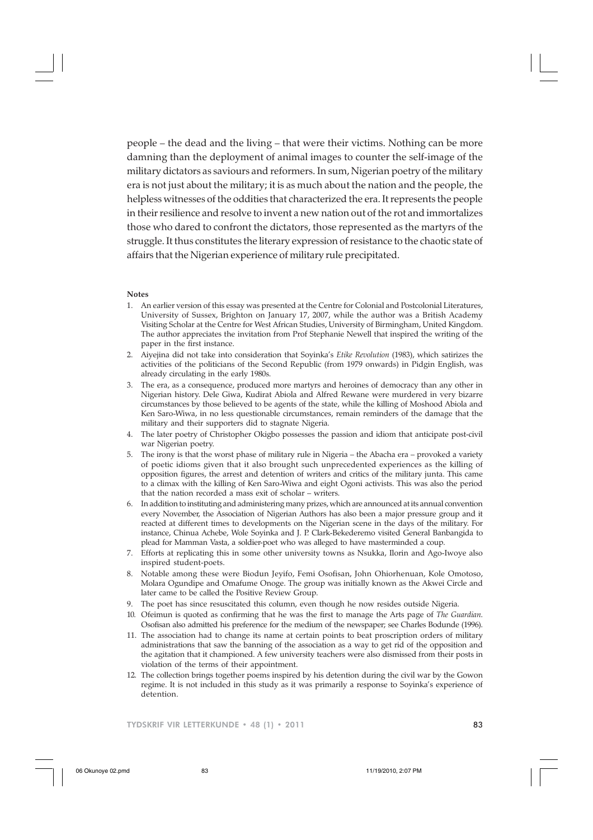people – the dead and the living – that were their victims. Nothing can be more damning than the deployment of animal images to counter the self-image of the military dictators as saviours and reformers. In sum, Nigerian poetry of the military era is not just about the military; it is as much about the nation and the people, the helpless witnesses of the oddities that characterized the era. It represents the people in their resilience and resolve to invent a new nation out of the rot and immortalizes those who dared to confront the dictators, those represented as the martyrs of the struggle. It thus constitutes the literary expression of resistance to the chaotic state of affairs that the Nigerian experience of military rule precipitated.

#### **Notes**

- 1. An earlier version of this essay was presented at the Centre for Colonial and Postcolonial Literatures, University of Sussex, Brighton on January 17, 2007, while the author was a British Academy Visiting Scholar at the Centre for West African Studies, University of Birmingham, United Kingdom. The author appreciates the invitation from Prof Stephanie Newell that inspired the writing of the paper in the first instance.
- 2. Aiyejina did not take into consideration that Soyinka's *Etike Revolution* (1983), which satirizes the activities of the politicians of the Second Republic (from 1979 onwards) in Pidgin English, was already circulating in the early 1980s.
- 3. The era, as a consequence, produced more martyrs and heroines of democracy than any other in Nigerian history. Dele Giwa, Kudirat Abiola and Alfred Rewane were murdered in very bizarre circumstances by those believed to be agents of the state, while the killing of Moshood Abiola and Ken Saro-Wiwa, in no less questionable circumstances, remain reminders of the damage that the military and their supporters did to stagnate Nigeria.
- 4. The later poetry of Christopher Okigbo possesses the passion and idiom that anticipate post-civil war Nigerian poetry.
- 5. The irony is that the worst phase of military rule in Nigeria the Abacha era provoked a variety of poetic idioms given that it also brought such unprecedented experiences as the killing of opposition figures, the arrest and detention of writers and critics of the military junta. This came to a climax with the killing of Ken Saro-Wiwa and eight Ogoni activists. This was also the period that the nation recorded a mass exit of scholar – writers.
- 6. In addition to instituting and administering many prizes, which are announced at its annual convention every November, the Association of Nigerian Authors has also been a major pressure group and it reacted at different times to developments on the Nigerian scene in the days of the military. For instance, Chinua Achebe, Wole Soyinka and J. P. Clark-Bekederemo visited General Banbangida to plead for Mamman Vasta, a soldier-poet who was alleged to have masterminded a coup.
- 7. Efforts at replicating this in some other university towns as Nsukka, Ilorin and Ago-Iwoye also inspired student-poets.
- 8. Notable among these were Biodun Jeyifo, Femi Osofisan, John Ohiorhenuan, Kole Omotoso, Molara Ogundipe and Omafume Onoge. The group was initially known as the Akwei Circle and later came to be called the Positive Review Group.
- 9. The poet has since resuscitated this column, even though he now resides outside Nigeria.
- 10. Ofeimun is quoted as confirming that he was the first to manage the Arts page of *The Guardian*. Osofisan also admitted his preference for the medium of the newspaper; see Charles Bodunde (1996).
- 11. The association had to change its name at certain points to beat proscription orders of military administrations that saw the banning of the association as a way to get rid of the opposition and the agitation that it championed. A few university teachers were also dismissed from their posts in violation of the terms of their appointment.
- 12. The collection brings together poems inspired by his detention during the civil war by the Gowon regime. It is not included in this study as it was primarily a response to Soyinka's experience of detention.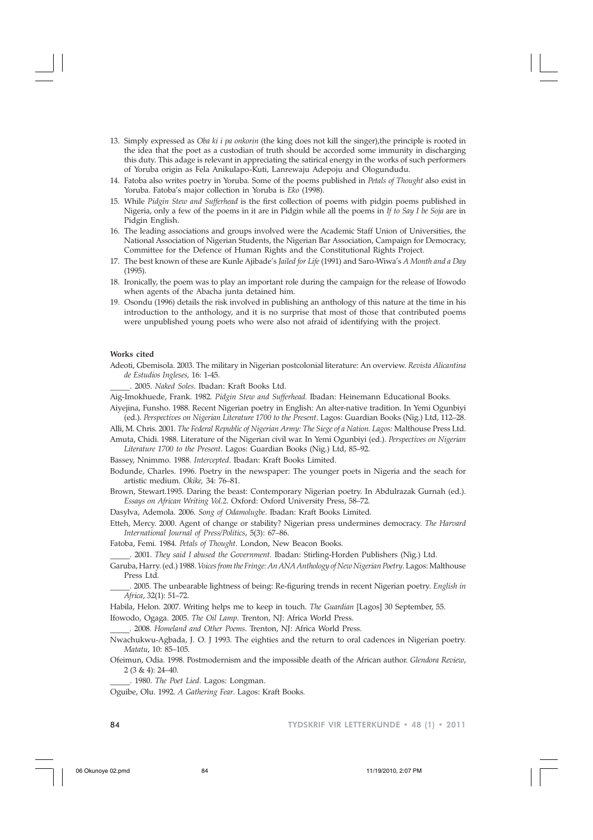- 13. Simply expressed as *Oba ki i pa onkorin* (the king does not kill the singer),the principle is rooted in the idea that the poet as a custodian of truth should be accorded some immunity in discharging this duty. This adage is relevant in appreciating the satirical energy in the works of such performers of Yoruba origin as Fela Anikulapo-Kuti, Lanrewaju Adepoju and Ologundudu.
- 14. Fatoba also writes poetry in Yoruba. Some of the poems published in *Petals of Thought* also exist in Yoruba. Fatoba's major collection in Yoruba is *Eko* (1998).
- 15. While *Pidgin Stew and Sufferhead* is the first collection of poems with pidgin poems published in Nigeria, only a few of the poems in it are in Pidgin while all the poems in *If to Say I be Soja* are in Pidgin English.
- 16. The leading associations and groups involved were the Academic Staff Union of Universities, the National Association of Nigerian Students, the Nigerian Bar Association, Campaign for Democracy, Committee for the Defence of Human Rights and the Constitutional Rights Project.
- 17. The best known of these are Kunle Ajibade's *Jailed for Life* (1991) and Saro-Wiwa's *A Month and a Day* (1995).
- 18. Ironically, the poem was to play an important role during the campaign for the release of Ifowodo when agents of the Abacha junta detained him.
- 19. Osondu (1996) details the risk involved in publishing an anthology of this nature at the time in his introduction to the anthology, and it is no surprise that most of those that contributed poems were unpublished young poets who were also not afraid of identifying with the project.

#### **Works cited**

Adeoti, Gbemisola. 2003. The military in Nigerian postcolonial literature: An overview. *Revista Alicantina de Estudios Ingleses,* 16: 1-45.

\_\_\_\_\_. 2005. *Naked Soles*. Ibadan: Kraft Books Ltd.

- Aig-Imokhuede, Frank. 1982. *Pidgin Stew and Sufferhead.* Ibadan: Heinemann Educational Books.
- Aiyejina, Funsho. 1988. Recent Nigerian poetry in English: An alter-native tradition. In Yemi Ogunbiyi (ed.). *Perspectives on Nigerian Literature 1700 to the Present*. Lagos: Guardian Books (Nig.) Ltd, 112–28.
- Alli, M. Chris. 2001. *The Federal Republic of Nigerian Army: The Siege of a Nation. Lagos:* Malthouse Press Ltd. Amuta, Chidi. 1988. Literature of the Nigerian civil war. In Yemi Ogunbiyi (ed.). *Perspectives on Nigerian*
- *Literature 1700 to the Present*. Lagos: Guardian Books (Nig.) Ltd, 85–92.

Bassey, Nnimmo. 1988. *Intercepted*. Ibadan: Kraft Books Limited.

Bodunde, Charles. 1996. Poetry in the newspaper: The younger poets in Nigeria and the seach for artistic medium. *Okike,* 34: 76–81.

Brown, Stewart.1995. Daring the beast: Contemporary Nigerian poetry. In Abdulrazak Gurnah (ed.). *Essays on African Writing Vol.2*. Oxford: Oxford University Press, 58–72.

Dasylva, Ademola. 2006. *Song of Odamolugbe*. Ibadan: Kraft Books Limited.

Etteh, Mercy. 2000. Agent of change or stability? Nigerian press undermines democracy. *The Harvard International Journal of Press/Politics*, 5(3): 67–86.

Fatoba, Femi. 1984. *Petals of Thought*. London, New Beacon Books.

\_\_\_\_\_. 2001. *They said I abused the Government*. Ibadan: Stirling-Horden Publishers (Nig.) Ltd.

Garuba, Harry. (ed.) 1988. *Voices from the Fringe: An ANA Anthology of New Nigerian Poetry*. Lagos: Malthouse Press Ltd.

\_\_\_\_\_. 2005. The unbearable lightness of being: Re-figuring trends in recent Nigerian poetry. *English in Africa*, 32(1): 51–72.

Habila, Helon. 2007. Writing helps me to keep in touch. *The Guardian* [Lagos] 30 September, 55.

Ifowodo, Ogaga. 2005. *The Oil Lamp*. Trenton, NJ: Africa World Press.

\_\_\_\_\_. 2008. *Homeland and Other Poems*. Trenton, NJ: Africa World Press.

Nwachukwu-Agbada, J. O. J 1993. The eighties and the return to oral cadences in Nigerian poetry. *Matatu*, 10: 85–105.

Ofeimun, Odia. 1998. Postmodernism and the impossible death of the African author. *Glendora Review*, 2 (3 & 4): 24–40.

\_\_\_\_\_. 1980. *The Poet Lied*. Lagos: Longman.

Oguibe, Olu. 1992. *A Gathering Fear*. Lagos: Kraft Books.